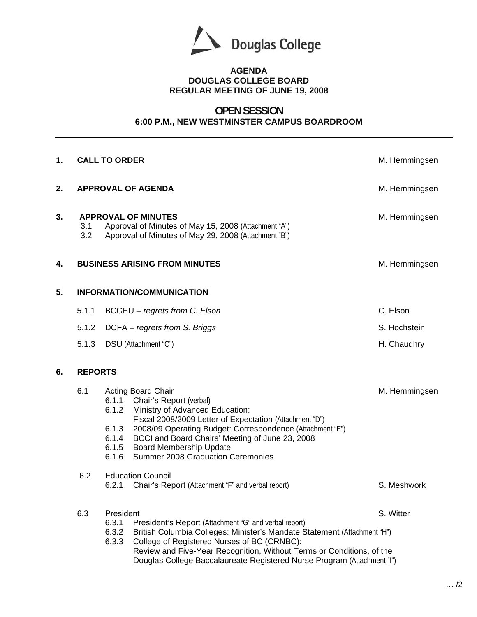

## **AGENDA DOUGLAS COLLEGE BOARD REGULAR MEETING OF JUNE 19, 2008**

## **OPEN SESSION 6:00 P.M., NEW WESTMINSTER CAMPUS BOARDROOM**

| 1. |                | <b>CALL TO ORDER</b>                                                                                                                                                                                                                                                                                                                                                                                                            | M. Hemmingsen |
|----|----------------|---------------------------------------------------------------------------------------------------------------------------------------------------------------------------------------------------------------------------------------------------------------------------------------------------------------------------------------------------------------------------------------------------------------------------------|---------------|
| 2. |                | <b>APPROVAL OF AGENDA</b>                                                                                                                                                                                                                                                                                                                                                                                                       | M. Hemmingsen |
| 3. | 3.1<br>3.2     | <b>APPROVAL OF MINUTES</b><br>Approval of Minutes of May 15, 2008 (Attachment "A")<br>Approval of Minutes of May 29, 2008 (Attachment "B")                                                                                                                                                                                                                                                                                      | M. Hemmingsen |
| 4. |                | <b>BUSINESS ARISING FROM MINUTES</b>                                                                                                                                                                                                                                                                                                                                                                                            | M. Hemmingsen |
| 5. |                | <b>INFORMATION/COMMUNICATION</b>                                                                                                                                                                                                                                                                                                                                                                                                |               |
|    | 5.1.1          | BCGEU - regrets from C. Elson                                                                                                                                                                                                                                                                                                                                                                                                   | C. Elson      |
|    | 5.1.2          | DCFA - regrets from S. Briggs                                                                                                                                                                                                                                                                                                                                                                                                   | S. Hochstein  |
|    | 5.1.3          | DSU (Attachment "C")                                                                                                                                                                                                                                                                                                                                                                                                            | H. Chaudhry   |
| 6. | <b>REPORTS</b> |                                                                                                                                                                                                                                                                                                                                                                                                                                 |               |
|    | 6.1<br>6.2     | <b>Acting Board Chair</b><br>6.1.1 Chair's Report (verbal)<br>6.1.2<br>Ministry of Advanced Education:<br>Fiscal 2008/2009 Letter of Expectation (Attachment "D")<br>6.1.3<br>2008/09 Operating Budget: Correspondence (Attachment "E")<br>BCCI and Board Chairs' Meeting of June 23, 2008<br>6.1.4<br><b>Board Membership Update</b><br>6.1.5<br><b>Summer 2008 Graduation Ceremonies</b><br>6.1.6<br><b>Education Council</b> | M. Hemmingsen |
|    |                | Chair's Report (Attachment "F" and verbal report)<br>6.2.1                                                                                                                                                                                                                                                                                                                                                                      | S. Meshwork   |
|    | 6.3            | President<br>6.3.1<br>President's Report (Attachment "G" and verbal report)<br>6.3.2<br>British Columbia Colleges: Minister's Mandate Statement (Attachment "H")<br>6.3.3<br>College of Registered Nurses of BC (CRNBC):<br>Review and Five-Year Recognition, Without Terms or Conditions, of the<br>Douglas College Baccalaureate Registered Nurse Program (Attachment "I")                                                    | S. Witter     |